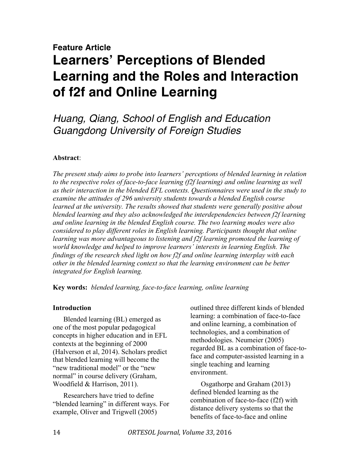# **Feature Article Learners' Perceptions of Blended Learning and the Roles and Interaction of f2f and Online Learning**

*Huang, Qiang, School of English and Education Guangdong University of Foreign Studies*

# **Abstract**:

*The present study aims to probe into learners' perceptions of blended learning in relation to the respective roles of face-to-face learning (f2f learning) and online learning as well as their interaction in the blended EFL contexts. Questionnaires were used in the study to examine the attitudes of 296 university students towards a blended English course learned at the university. The results showed that students were generally positive about blended learning and they also acknowledged the interdependencies between f2f learning and online learning in the blended English course. The two learning modes were also considered to play different roles in English learning. Participants thought that online learning was more advantageous to listening and f2f learning promoted the learning of world knowledge and helped to improve learners' interests in learning English. The findings of the research shed light on how f2f and online learning interplay with each other in the blended learning context so that the learning environment can be better integrated for English learning.* 

**Key words:** *blended learning, face-to-face learning, online learning*

# **Introduction**

Blended learning (BL) emerged as one of the most popular pedagogical concepts in higher education and in EFL contexts at the beginning of 2000 (Halverson et al, 2014). Scholars predict that blended learning will become the "new traditional model" or the "new normal" in course delivery (Graham, Woodfield & Harrison, 2011).

Researchers have tried to define "blended learning" in different ways. For example, Oliver and Trigwell (2005)

outlined three different kinds of blended learning: a combination of face-to-face and online learning, a combination of technologies, and a combination of methodologies. Neumeier (2005) regarded BL as a combination of face-toface and computer-assisted learning in a single teaching and learning environment.

Osgathorpe and Graham (2013) defined blended learning as the combination of face-to-face (f2f) with distance delivery systems so that the benefits of face-to-face and online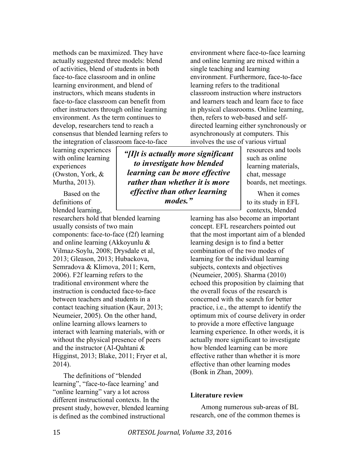methods can be maximized. They have actually suggested three models: blend of activities, blend of students in both face-to-face classroom and in online learning environment, and blend of instructors, which means students in face-to-face classroom can benefit from other instructors through online learning environment. As the term continues to develop, researchers tend to reach a consensus that blended learning refers to the integration of classroom face-to-face

learning experiences with online learning experiences (Owston, York, & Murtha, 2013).

Based on the definitions of blended learning,

researchers hold that blended learning usually consists of two main components: face-to-face (f2f) learning and online learning (Akkoyunlu & Vilmaz-Soylu, 2008; Drysdale et al, 2013; Gleason, 2013; Hubackova, Semradova & Klimova, 2011; Kern, 2006). F2f learning refers to the traditional environment where the instruction is conducted face-to-face between teachers and students in a contact teaching situation (Kaur, 2013; Neumeier, 2005). On the other hand, online learning allows learners to interact with learning materials, with or without the physical presence of peers and the instructor (Al-Qahtani & Higginst, 2013; Blake, 2011; Fryer et al, 2014).

The definitions of "blended learning", "face-to-face learning' and "online learning" vary a lot across different instructional contexts. In the present study, however, blended learning is defined as the combined instructional

*"[I]t is actually more significant to investigate how blended learning can be more effective rather than whether it is more effective than other learning modes."*

environment where face-to-face learning and online learning are mixed within a single teaching and learning environment. Furthermore, face-to-face learning refers to the traditional classroom instruction where instructors and learners teach and learn face to face in physical classrooms. Online learning, then, refers to web-based and selfdirected learning either synchronously or asynchronously at computers. This involves the use of various virtual

> resources and tools such as online learning materials, chat, message boards, net meetings.

When it comes to its study in EFL contexts, blended

learning has also become an important concept. EFL researchers pointed out that the most important aim of a blended learning design is to find a better combination of the two modes of learning for the individual learning subjects, contexts and objectives (Neumeier, 2005). Sharma (2010) echoed this proposition by claiming that the overall focus of the research is concerned with the search for better practice, i.e., the attempt to identify the optimum mix of course delivery in order to provide a more effective language learning experience. In other words, it is actually more significant to investigate how blended learning can be more effective rather than whether it is more effective than other learning modes (Bonk in Zhan, 2009).

# **Literature review**

Among numerous sub-areas of BL research, one of the common themes is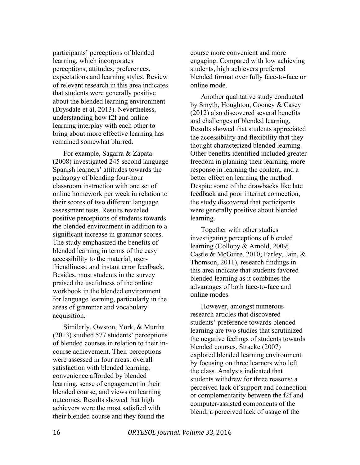participants' perceptions of blended learning, which incorporates perceptions, attitudes, preferences, expectations and learning styles. Review of relevant research in this area indicates that students were generally positive about the blended learning environment (Drysdale et al, 2013). Nevertheless, understanding how f2f and online learning interplay with each other to bring about more effective learning has remained somewhat blurred.

For example, Sagarra & Zapata (2008) investigated 245 second language Spanish learners' attitudes towards the pedagogy of blending four-hour classroom instruction with one set of online homework per week in relation to their scores of two different language assessment tests. Results revealed positive perceptions of students towards the blended environment in addition to a significant increase in grammar scores. The study emphasized the benefits of blended learning in terms of the easy accessibility to the material, userfriendliness, and instant error feedback. Besides, most students in the survey praised the usefulness of the online workbook in the blended environment for language learning, particularly in the areas of grammar and vocabulary acquisition.

Similarly, Owston, York, & Murtha (2013) studied 577 students' perceptions of blended courses in relation to their incourse achievement. Their perceptions were assessed in four areas: overall satisfaction with blended learning, convenience afforded by blended learning, sense of engagement in their blended course, and views on learning outcomes. Results showed that high achievers were the most satisfied with their blended course and they found the

course more convenient and more engaging. Compared with low achieving students, high achievers preferred blended format over fully face-to-face or online mode.

Another qualitative study conducted by Smyth, Houghton, Cooney & Casey (2012) also discovered several benefits and challenges of blended learning. Results showed that students appreciated the accessibility and flexibility that they thought characterized blended learning. Other benefits identified included greater freedom in planning their learning, more response in learning the content, and a better effect on learning the method. Despite some of the drawbacks like late feedback and poor internet connection, the study discovered that participants were generally positive about blended learning.

Together with other studies investigating perceptions of blended learning (Collopy & Arnold, 2009; Castle & McGuire, 2010; Farley, Jain, & Thomson, 2011), research findings in this area indicate that students favored blended learning as it combines the advantages of both face-to-face and online modes.

However, amongst numerous research articles that discovered students' preference towards blended learning are two studies that scrutinized the negative feelings of students towards blended courses. Stracke (2007) explored blended learning environment by focusing on three learners who left the class. Analysis indicated that students withdrew for three reasons: a perceived lack of support and connection or complementarity between the f2f and computer-assisted components of the blend; a perceived lack of usage of the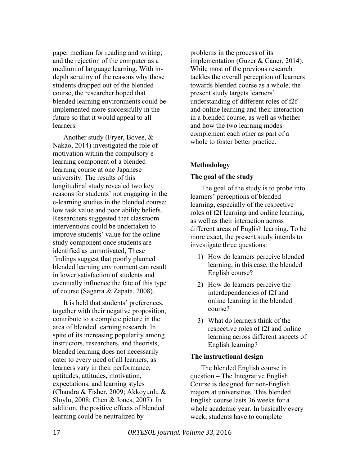paper medium for reading and writing; and the rejection of the computer as a medium of language learning. With indepth scrutiny of the reasons why those students dropped out of the blended course, the researcher hoped that blended learning environments could be implemented more successfully in the future so that it would appeal to all learners.

Another study (Fryer, Bovee, & Nakao, 2014) investigated the role of motivation within the compulsory elearning component of a blended learning course at one Japanese university. The results of this longitudinal study revealed two key reasons for students' not engaging in the e-learning studies in the blended course: low task value and poor ability beliefs. Researchers suggested that classroom interventions could be undertaken to improve students' value for the online study component once students are identified as unmotivated, These findings suggest that poorly planned blended learning environment can result in lower satisfaction of students and eventually influence the fate of this type of course (Sagarra & Zapata, 2008).

It is held that students' preferences, together with their negative proposition, contribute to a complete picture in the area of blended learning research. In spite of its increasing popularity among instructors, researchers, and theorists, blended learning does not necessarily cater to every need of all learners, as learners vary in their performance, aptitudes, attitudes, motivation, expectations, and learning styles (Chandra & Fisher, 2009; Akkoyunlu & Sloylu, 2008; Chen & Jones, 2007). In addition, the positive effects of blended learning could be neutralized by

problems in the process of its implementation (Guzer & Caner, 2014). While most of the previous research tackles the overall perception of learners towards blended course as a whole, the present study targets learners' understanding of different roles of f2f and online learning and their interaction in a blended course, as well as whether and how the two learning modes complement each other as part of a whole to foster better practice.

# **Methodology**

# **The goal of the study**

The goal of the study is to probe into learners' perceptions of blended learning, especially of the respective roles of f2f learning and online learning, as well as their interaction across different areas of English learning. To be more exact, the present study intends to investigate three questions:

- 1) How do learners perceive blended learning, in this case, the blended English course?
- 2) How do learners perceive the interdependencies of f2f and online learning in the blended course?
- 3) What do learners think of the respective roles of f2f and online learning across different aspects of English learning?

# **The instructional design**

The blended English course in question – The Integrative English Course is designed for non-English majors at universities. This blended English course lasts 36 weeks for a whole academic year. In basically every week, students have to complete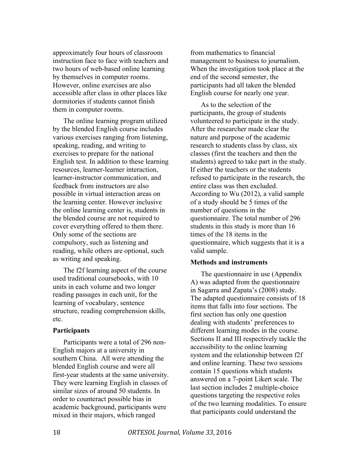approximately four hours of classroom instruction face to face with teachers and two hours of web-based online learning by themselves in computer rooms. However, online exercises are also accessible after class in other places like dormitories if students cannot finish them in computer rooms.

The online learning program utilized by the blended English course includes various exercises ranging from listening, speaking, reading, and writing to exercises to prepare for the national English test. In addition to these learning resources, learner-learner interaction, learner-instructor communication, and feedback from instructors are also possible in virtual interaction areas on the learning center. However inclusive the online learning center is, students in the blended course are not required to cover everything offered to them there. Only some of the sections are compulsory, such as listening and reading, while others are optional, such as writing and speaking.

The f2f learning aspect of the course used traditional coursebooks, with 10 units in each volume and two longer reading passages in each unit, for the learning of vocabulary, sentence structure, reading comprehension skills, etc.

#### **Participants**

Participants were a total of 296 non-English majors at a university in southern China. All were attending the blended English course and were all first-year students at the same university. They were learning English in classes of similar sizes of around 50 students. In order to counteract possible bias in academic background, participants were mixed in their majors, which ranged

from mathematics to financial management to business to journalism. When the investigation took place at the end of the second semester, the participants had all taken the blended English course for nearly one year.

As to the selection of the participants, the group of students volunteered to participate in the study. After the researcher made clear the nature and purpose of the academic research to students class by class, six classes (first the teachers and then the students) agreed to take part in the study. If either the teachers or the students refused to participate in the research, the entire class was then excluded. According to Wu (2012), a valid sample of a study should be 5 times of the number of questions in the questionnaire. The total number of 296 students in this study is more than 16 times of the 18 items in the questionnaire, which suggests that it is a valid sample.

#### **Methods and instruments**

The questionnaire in use (Appendix A) was adapted from the questionnaire in Sagarra and Zapata's (2008) study. The adapted questionnaire consists of 18 items that falls into four sections. The first section has only one question dealing with students' preferences to different learning modes in the course. Sections II and III respectively tackle the accessibility to the online learning system and the relationship between f2f and online learning. These two sessions contain 15 questions which students answered on a 7-point Likert scale. The last section includes 2 multiple-choice questions targeting the respective roles of the two learning modalities. To ensure that participants could understand the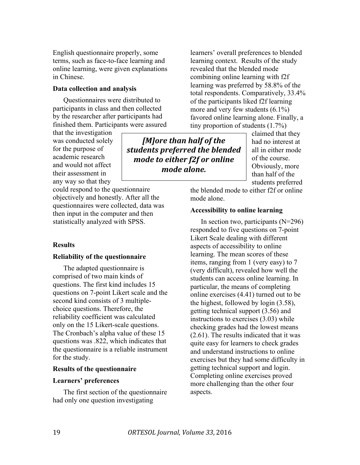English questionnaire properly, some terms, such as face-to-face learning and online learning, were given explanations in Chinese.

# **Data collection and analysis**

Questionnaires were distributed to participants in class and then collected by the researcher after participants had finished them. Participants were assured

that the investigation was conducted solely for the purpose of academic research and would not affect their assessment in any way so that they

could respond to the questionnaire objectively and honestly. After all the questionnaires were collected, data was then input in the computer and then statistically analyzed with SPSS.

#### **Results**

#### **Reliability of the questionnaire**

The adapted questionnaire is comprised of two main kinds of questions. The first kind includes 15 questions on 7-point Likert scale and the second kind consists of 3 multiplechoice questions. Therefore, the reliability coefficient was calculated only on the 15 Likert-scale questions. The Cronbach's alpha value of these 15 questions was .822, which indicates that the questionnaire is a reliable instrument for the study.

#### **Results of the questionnaire**

#### **Learners' preferences**

The first section of the questionnaire had only one question investigating

learners' overall preferences to blended learning context. Results of the study revealed that the blended mode combining online learning with f2f learning was preferred by 58.8% of the total respondents. Comparatively, 33.4% of the participants liked f2f learning more and very few students (6.1%) favored online learning alone. Finally, a tiny proportion of students (1.7%)

*[M]ore than half of the* students preferred the blended *mode to either f2f or online mode alone.*

claimed that they had no interest at all in either mode of the course. Obviously, more than half of the students preferred

the blended mode to either f2f or online mode alone.

#### **Accessibility to online learning**

In section two, participants  $(N=296)$ responded to five questions on 7-point Likert Scale dealing with different aspects of accessibility to online learning. The mean scores of these items, ranging from 1 (very easy) to 7 (very difficult), revealed how well the students can access online learning. In particular, the means of completing online exercises (4.41) turned out to be the highest, followed by login (3.58), getting technical support (3.56) and instructions to exercises (3.03) while checking grades had the lowest means (2.61). The results indicated that it was quite easy for learners to check grades and understand instructions to online exercises but they had some difficulty in getting technical support and login. Completing online exercises proved more challenging than the other four aspects.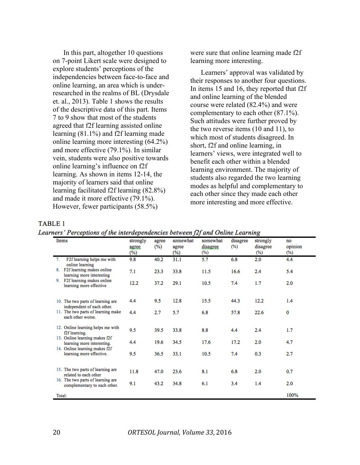In this part, altogether 10 questions on 7-point Likert scale were designed to explore students' perceptions of the independencies between face-to-face and online learning, an area which is underresearched in the realms of BL (Drysdale et. al., 2013). Table 1 shows the results of the descriptive data of this part. Items 7 to 9 show that most of the students agreed that f2f learning assisted online learning (81.1%) and f2f learning made online learning more interesting (64.2%) and more effective (79.1%). In similar vein, students were also positive towards online learning's influence on f2f learning. As shown in items 12-14, the majority of learners said that online learning facilitated f2f learning (82.8%) and made it more effective (79.1%). However, fewer participants (58.5%)

were sure that online learning made f2f learning more interesting.

Learners' approval was validated by their responses to another four questions. In items 15 and 16, they reported that f2f and online learning of the blended course were related (82.4%) and were complementary to each other (87.1%). Such attitudes were further proved by the two reverse items (10 and 11), to which most of students disagreed. In short, f2f and online learning, in learners' views, were integrated well to benefit each other within a blended learning environment. The majority of students also regarded the two learning modes as helpful and complementary to each other since they made each other more interesting and more effective.

#### **TABLE 1**

Learners' Perceptions of the interdependencies between f2f and Online Learning

| Items                                                                                        | strongly<br>agree<br>$(\%)$ | agree<br>$(\%)$ | somewhat<br>agree<br>$(\%)$ | somewhat<br>disagree<br>$(\%)$ | disagree<br>$(\%)$ | 0<br>strongly<br>disagree<br>$(\%)$ | no<br>opinion<br>$(\%)$ |
|----------------------------------------------------------------------------------------------|-----------------------------|-----------------|-----------------------------|--------------------------------|--------------------|-------------------------------------|-------------------------|
| F2f learning helps me with<br>7.<br>online learning                                          | 9.8                         | 40.2            | 31.1                        | 5.7                            | 6.8                | 2.0                                 | 4.4                     |
| 8. F2f learning makes online<br>learning more interesting                                    | 7.1                         | 23.3            | 33.8                        | 11.5                           | 16.6               | 2.4                                 | 5.4                     |
| F <sub>2f</sub> learning makes online<br>9.<br>learning more effective                       | 12.2                        | 37.2            | 29.1                        | 10.5                           | 7.4                | 1.7                                 | 2.0                     |
| 10. The two parts of learning are<br>independent of each other.                              | 4.4                         | 9.5             | 12.8                        | 15.5                           | 44.3               | 12.2                                | 1.4                     |
| 11. The two parts of learning make<br>each other worse.                                      | 4.4                         | 2.7             | 5.7                         | 6.8                            | 57.8               | 22.6                                | 0                       |
| 12. Online learning helps me with<br>f2f learning.                                           | 9.5                         | 39.5            | 33.8                        | 8.8                            | 4.4                | 2.4                                 | 1.7                     |
| 13. Online learning makes f2f<br>learning more interesting.<br>14. Online learning makes f2f | 4.4                         | 19.6            | 34.5                        | 17.6                           | 17.2               | 2.0                                 | 4.7                     |
| learning more effective.                                                                     | 9.5                         | 36.5            | 33.1                        | 10.5                           | 7.4                | 0.3                                 | 2.7                     |
| 15. The two parts of learning are<br>related to each other                                   | 11.8                        | 47.0            | 23.6                        | 8.1                            | 6.8                | 2.0                                 | 0.7                     |
| 16. The two parts of learning are<br>complementary to each other.                            | 9.1                         | 43.2            | 34.8                        | 6.1                            | 3.4                | 1.4                                 | 2.0                     |
| Total:                                                                                       |                             |                 |                             |                                |                    |                                     | 100%                    |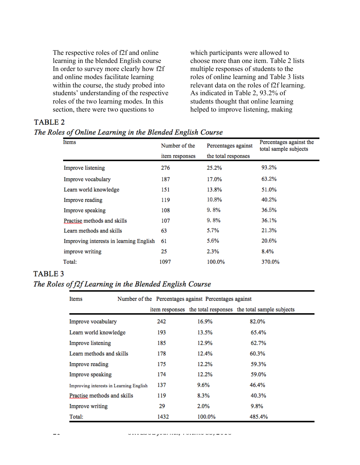The respective roles of f2f and online learning in the blended English course In order to survey more clearly how f2f and online modes facilitate learning within the course, the study probed into students' understanding of the respective roles of the two learning modes. In this section, there were two questions to

which participants were allowed to choose more than one item. Table 2 lists multiple responses of students to the roles of online learning and Table 3 lists relevant data on the roles of f2f learning. As indicated in Table 2, 93.2% of students thought that online learning helped to improve listening, making

# **TABLE 2**

# The Roles of Online Learning in the Blended English Course

| Items                                   | Number of the  | Percentages against | Percentages against the<br>total sample subjects |  |
|-----------------------------------------|----------------|---------------------|--------------------------------------------------|--|
|                                         | item responses | the total responses |                                                  |  |
| Improve listening                       | 276            | 25.2%               | 93.2%                                            |  |
| Improve vocabulary                      | 187            | 17.0%               | 63.2%                                            |  |
| Learn world knowledge                   | 151            | 13.8%               | 51.0%                                            |  |
| Improve reading                         | 119            | 10.8%               | 40.2%                                            |  |
| Improve speaking                        | 108            | $9.8\%$             | 36.5%                                            |  |
| Practise methods and skills             | 107            | $9.8\%$             | 36.1%                                            |  |
| Learn methods and skills                | 63             | 5.7%                | 21.3%                                            |  |
| Improving interests in learning English | 61             | 5.6%                | 20.6%                                            |  |
| improve writing                         | 25             | 2.3%                | 8.4%                                             |  |
| Total:                                  | 1097           | 100.0%              | 370.0%                                           |  |

# **TABLE 3** The Roles of f2f Learning in the Blended English Course

| Items                                   | Number of the Percentages against Percentages against |        |                                                              |  |  |  |
|-----------------------------------------|-------------------------------------------------------|--------|--------------------------------------------------------------|--|--|--|
|                                         |                                                       |        | item responses the total responses the total sample subjects |  |  |  |
| Improve vocabulary                      | 242                                                   | 16.9%  | 82.0%                                                        |  |  |  |
| Learn world knowledge                   | 193                                                   | 13.5%  | 65.4%                                                        |  |  |  |
| Improve listening                       | 185                                                   | 12.9%  | 62.7%                                                        |  |  |  |
| Learn methods and skills                | 178                                                   | 12.4%  | 60.3%                                                        |  |  |  |
| Improve reading                         | 175                                                   | 12.2%  | 59.3%                                                        |  |  |  |
| Improve speaking                        | 174                                                   | 12.2%  | 59.0%                                                        |  |  |  |
| Improving interests in Learning English | 137                                                   | 9.6%   | 46.4%                                                        |  |  |  |
| Practise methods and skills             | 119                                                   | 8.3%   | 40.3%                                                        |  |  |  |
| Improve writing                         | 29                                                    | 2.0%   | 9.8%                                                         |  |  |  |
| Total:                                  | 1432                                                  | 100.0% | 485.4%                                                       |  |  |  |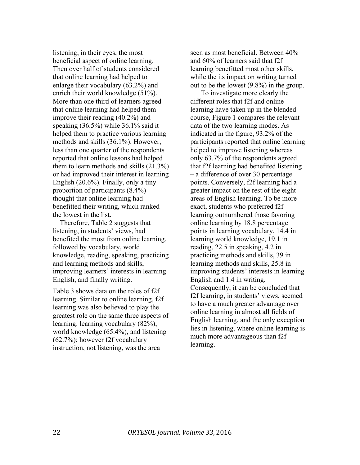listening, in their eyes, the most beneficial aspect of online learning. Then over half of students considered that online learning had helped to enlarge their vocabulary (63.2%) and enrich their world knowledge (51%). More than one third of learners agreed that online learning had helped them improve their reading (40.2%) and speaking (36.5%) while 36.1% said it helped them to practice various learning methods and skills (36.1%). However, less than one quarter of the respondents reported that online lessons had helped them to learn methods and skills (21.3%) or had improved their interest in learning English (20.6%). Finally, only a tiny proportion of participants (8.4%) thought that online learning had benefitted their writing, which ranked the lowest in the list.

Therefore, Table 2 suggests that listening, in students' views, had benefited the most from online learning, followed by vocabulary, world knowledge, reading, speaking, practicing and learning methods and skills, improving learners' interests in learning English, and finally writing.

Table 3 shows data on the roles of f2f learning. Similar to online learning, f2f learning was also believed to play the greatest role on the same three aspects of learning: learning vocabulary (82%), world knowledge (65.4%), and listening (62.7%); however f2f vocabulary instruction, not listening, was the area

seen as most beneficial. Between 40% and 60% of learners said that f2f learning benefitted most other skills, while the its impact on writing turned out to be the lowest (9.8%) in the group.

To investigate more clearly the different roles that f2f and online learning have taken up in the blended course, Figure 1 compares the relevant data of the two learning modes. As indicated in the figure, 93.2% of the participants reported that online learning helped to improve listening whereas only 63.7% of the respondents agreed that f2f learning had benefited listening – a difference of over 30 percentage points. Conversely, f2f learning had a greater impact on the rest of the eight areas of English learning. To be more exact, students who preferred f2f learning outnumbered those favoring online learning by 18.8 percentage points in learning vocabulary, 14.4 in learning world knowledge, 19.1 in reading, 22.5 in speaking, 4.2 in practicing methods and skills, 39 in learning methods and skills, 25.8 in improving students' interests in learning English and 1.4 in writing. Consequently, it can be concluded that f2f learning, in students' views, seemed to have a much greater advantage over online learning in almost all fields of English learning. and the only exception lies in listening, where online learning is much more advantageous than f2f learning.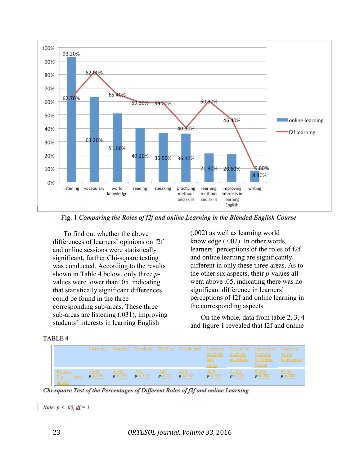

Fig. 1 Comparing the Roles of f2f and online Learning in the Blended English Course

To find out whether the above differences of learners' opinions on f2f and online sessions were statistically significant, further Chi-square testing was conducted. According to the results shown in Table 4 below, only three *p*values were lower than .05, indicating that statistically significant differences could be found in the three corresponding sub-areas. These three sub-areas are listening (.031), improving students' interests in learning English

(.002) as well as learning world knowledge (.002). In other words, learners' perceptions of the roles of f2f and online learning are significantly different in only these three areas. As to the other six aspects, their *p*-values all went above .05, indicating there was no significant difference in learners' perceptions of f2f and online learning in the corresponding aspects.

On the whole, data from table 2, 3, 4 and figure 1 revealed that f2f and online

|--|

|                                  | Listening                | Reading                  |                         | Speaking Writing Vocabulary                 | Learning<br>methods<br>and<br>skills | Practicing<br>methods<br>and skills | Improving<br>interests<br>in learning<br>English | Learning<br><u>world</u><br>knowledge |
|----------------------------------|--------------------------|--------------------------|-------------------------|---------------------------------------------|--------------------------------------|-------------------------------------|--------------------------------------------------|---------------------------------------|
| Pearson<br>Sig. (two-<br>tailed) | $\frac{4.633}{p = .031}$ | $\frac{3.399}{p = .065}$ | $\frac{.731}{p} = .392$ | $\frac{100}{p}$ = 752 $\frac{810}{p}$ = 368 | $\frac{.816}{p}$ = .366              | $\frac{2.180}{p=.140}$              | $\frac{9.628}{p=.002}$                           | $\frac{9.376}{\sigma = .002}$         |

Chi-square Test of the Percentages of Different Roles of f2f and online Learning

*Note:*  $p < .05$ ,  $df = 1$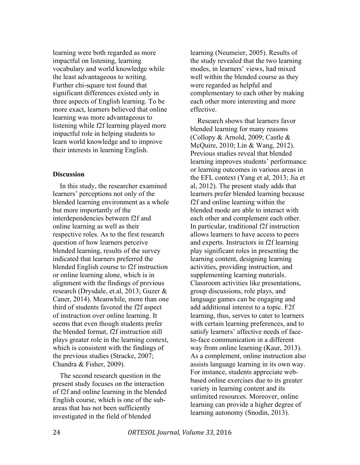learning were both regarded as more impactful on listening, learning vocabulary and world knowledge while the least advantageous to writing. Further chi-square test found that significant differences existed only in three aspects of English learning. To be more exact, learners believed that online learning was more advantageous to listening while f2f learning played more impactful role in helping students to learn world knowledge and to improve their interests in learning English.

# **Discussion**

In this study, the researcher examined learners' perceptions not only of the blended learning environment as a whole but more importantly of the interdependencies between f2f and online learning as well as their respective roles. As to the first research question of how learners perceive blended learning, results of the survey indicated that learners preferred the blended English course to f2f instruction or online learning alone, which is in alignment with the findings of previous research (Drysdale, et.al, 2013; Guzer & Caner, 2014). Meanwhile, more than one third of students favored the f2f aspect of instruction over online learning. It seems that even though students prefer the blended format, f2f instruction still plays greater role in the learning context, which is consistent with the findings of the previous studies (Stracke, 2007; Chandra & Fisher, 2009).

The second research question in the present study focuses on the interaction of f2f and online learning in the blended English course, which is one of the subareas that has not been sufficiently investigated in the field of blended

learning (Neumeier, 2005). Results of the study revealed that the two learning modes, in learners' views, had mixed well within the blended course as they were regarded as helpful and complementary to each other by making each other more interesting and more effective.

Research shows that learners favor blended learning for many reasons (Collopy & Arnold, 2009; Castle & McQuire, 2010; Lin & Wang, 2012). Previous studies reveal that blended learning improves students' performance or learning outcomes in various areas in the EFL context (Yang et al, 2013; Jia et al, 2012). The present study adds that learners prefer blended learning because f2f and online learning within the blended mode are able to interact with each other and complement each other. In particular, traditional f2f instruction allows learners to have access to peers and experts. Instructors in f2f learning play significant roles in presenting the learning content, designing learning activities, providing instruction, and supplementing learning materials. Classroom activities like presentations, group discussions, role plays, and language games can be engaging and add additional interest to a topic. F2f learning, thus, serves to cater to learners with certain learning preferences, and to satisfy learners' affective needs of faceto-face communication in a different way from online learning (Kaur, 2013). As a complement, online instruction also assists language learning in its own way. For instance, students appreciate webbased online exercises due to its greater variety in learning content and its unlimited resources. Moreover, online learning can provide a higher degree of learning autonomy (Snodin, 2013).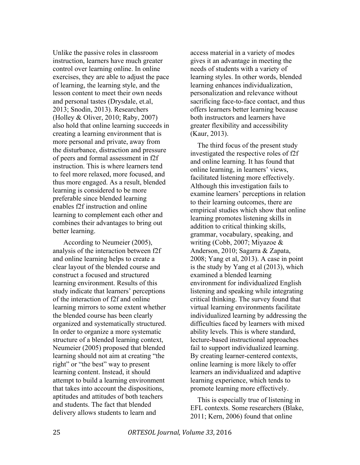Unlike the passive roles in classroom instruction, learners have much greater control over learning online. In online exercises, they are able to adjust the pace of learning, the learning style, and the lesson content to meet their own needs and personal tastes (Drysdale, et.al, 2013; Snodin, 2013). Researchers (Holley & Oliver, 2010; Raby, 2007) also hold that online learning succeeds in creating a learning environment that is more personal and private, away from the disturbance, distraction and pressure of peers and formal assessment in f2f instruction. This is where learners tend to feel more relaxed, more focused, and thus more engaged. As a result, blended learning is considered to be more preferable since blended learning enables f2f instruction and online learning to complement each other and combines their advantages to bring out better learning.

According to Neumeier (2005), analysis of the interaction between f2f and online learning helps to create a clear layout of the blended course and construct a focused and structured learning environment. Results of this study indicate that learners' perceptions of the interaction of f2f and online learning mirrors to some extent whether the blended course has been clearly organized and systematically structured. In order to organize a more systematic structure of a blended learning context, Neumeier (2005) proposed that blended learning should not aim at creating "the right" or "the best" way to present learning content. Instead, it should attempt to build a learning environment that takes into account the dispositions, aptitudes and attitudes of both teachers and students. The fact that blended delivery allows students to learn and

access material in a variety of modes gives it an advantage in meeting the needs of students with a variety of learning styles. In other words, blended learning enhances individualization, personalization and relevance without sacrificing face-to-face contact, and thus offers learners better learning because both instructors and learners have greater flexibility and accessibility (Kaur, 2013).

The third focus of the present study investigated the respective roles of f2f and online learning. It has found that online learning, in learners' views, facilitated listening more effectively. Although this investigation fails to examine learners' perceptions in relation to their learning outcomes, there are empirical studies which show that online learning promotes listening skills in addition to critical thinking skills, grammar, vocabulary, speaking, and writing (Cobb, 2007; Miyazoe & Anderson, 2010; Sagarra & Zapata, 2008; Yang et al, 2013). A case in point is the study by Yang et al (2013), which examined a blended learning environment for individualized English listening and speaking while integrating critical thinking. The survey found that virtual learning environments facilitate individualized learning by addressing the difficulties faced by learners with mixed ability levels. This is where standard, lecture-based instructional approaches fail to support individualized learning. By creating learner-centered contexts, online learning is more likely to offer learners an individualized and adaptive learning experience, which tends to promote learning more effectively.

This is especially true of listening in EFL contexts. Some researchers (Blake, 2011; Kern, 2006) found that online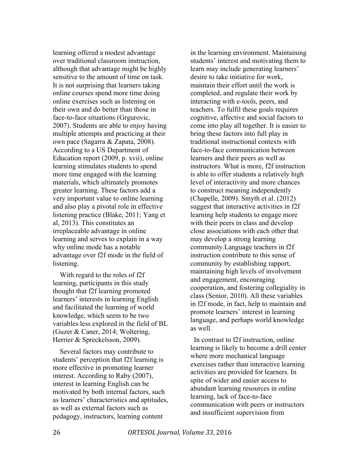learning offered a modest advantage over traditional classroom instruction, although that advantage might be highly sensitive to the amount of time on task. It is not surprising that learners taking online courses spend more time doing online exercises such as listening on their own and do better than those in face-to-face situations (Grgurovic, 2007). Students are able to enjoy having multiple attempts and practicing at their own pace (Sagarra & Zapata, 2008). According to a US Department of Education report (2009, p. xvii), online learning stimulates students to spend more time engaged with the learning materials, which ultimately promotes greater learning. These factors add a very important value to online learning and also play a pivotal role in effective listening practice (Blake, 2011; Yang et al, 2013). This constitutes an irreplaceable advantage in online learning and serves to explain in a way why online mode has a notable advantage over f2f mode in the field of listening.

With regard to the roles of f2f learning, participants in this study thought that f2f learning promoted learners' interests in learning English and facilitated the learning of world knowledge, which seem to be two variables less explored in the field of BL (Guzer & Caner, 2014; Woltering, Herrier & Spreckelsson, 2009).

Several factors may contribute to students' perception that f2f learning is more effective in promoting learner interest. According to Raby (2007), interest in learning English can be motivated by both internal factors, such as learners' characteristics and aptitudes, as well as external factors such as pedagogy, instructors, learning content

in the learning environment. Maintaining students' interest and motivating them to learn may include generating learners' desire to take initiative for work, maintain their effort until the work is completed, and regulate their work by interacting with e-tools, peers, and teachers. To fulfil these goals requires cognitive, affective and social factors to come into play all together. It is easier to bring these factors into full play in traditional instructional contexts with face-to-face communication between learners and their peers as well as instructors. What is more, f2f instruction is able to offer students a relatively high level of interactivity and more chances to construct meaning independently (Chapelle, 2009). Smyth et al. (2012) suggest that interactive activities in f2f learning help students to engage more with their peers in class and develop close associations with each other that may develop a strong learning community.Language teachers in f2f instruction contribute to this sense of community by establishing rapport, maintaining high levels of involvement and engagement, encouraging cooperation, and fostering collegiality in class (Senior, 2010). All these variables in f2f mode, in fact, help to maintain and promote learners' interest in learning language, and perhaps world knowledge as well.

 In contrast to f2f instruction, online learning is likely to become a drill center where more mechanical language exercises rather than interactive learning activities are provided for learners. In spite of wider and easier access to abundant learning resources in online learning, lack of face-to-face communication with peers or instructors and insufficient supervision from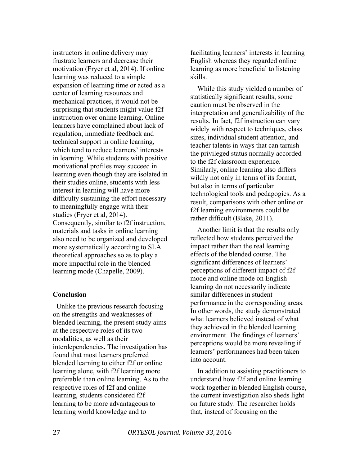instructors in online delivery may frustrate learners and decrease their motivation (Fryer et al, 2014). If online learning was reduced to a simple expansion of learning time or acted as a center of learning resources and mechanical practices, it would not be surprising that students might value f2f instruction over online learning. Online learners have complained about lack of regulation, immediate feedback and technical support in online learning, which tend to reduce learners' interests in learning. While students with positive motivational profiles may succeed in learning even though they are isolated in their studies online, students with less interest in learning will have more difficulty sustaining the effort necessary to meaningfully engage with their studies (Fryer et al, 2014). Consequently, similar to f2f instruction, materials and tasks in online learning also need to be organized and developed more systematically according to SLA theoretical approaches so as to play a more impactful role in the blended learning mode (Chapelle, 2009).

# **Conclusion**

Unlike the previous research focusing on the strengths and weaknesses of blended learning, the present study aims at the respective roles of its two modalities, as well as their interdependencies**.** The investigation has found that most learners preferred blended learning to either f2f or online learning alone, with f2f learning more preferable than online learning. As to the respective roles of f2f and online learning, students considered f2f learning to be more advantageous to learning world knowledge and to

facilitating learners' interests in learning English whereas they regarded online learning as more beneficial to listening skills.

While this study yielded a number of statistically significant results, some caution must be observed in the interpretation and generalizability of the results. In fact, f2f instruction can vary widely with respect to techniques, class sizes, individual student attention, and teacher talents in ways that can tarnish the privileged status normally accorded to the f2f classroom experience. Similarly, online learning also differs wildly not only in terms of its format, but also in terms of particular technological tools and pedagogies. As a result, comparisons with other online or f2f learning environments could be rather difficult (Blake, 2011).

Another limit is that the results only reflected how students perceived the impact rather than the real learning effects of the blended course. The significant differences of learners' perceptions of different impact of f2f mode and online mode on English learning do not necessarily indicate similar differences in student performance in the corresponding areas. In other words, the study demonstrated what learners believed instead of what they achieved in the blended learning environment. The findings of learners' perceptions would be more revealing if learners' performances had been taken into account.

In addition to assisting practitioners to understand how f2f and online learning work together in blended English course, the current investigation also sheds light on future study. The researcher holds that, instead of focusing on the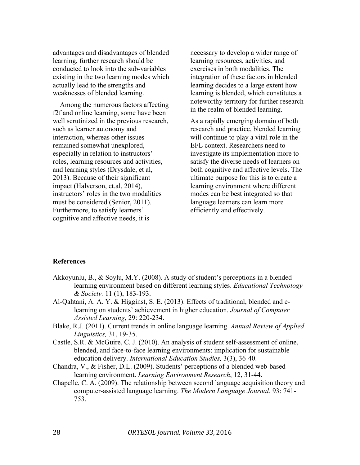advantages and disadvantages of blended learning, further research should be conducted to look into the sub-variables existing in the two learning modes which actually lead to the strengths and weaknesses of blended learning.

Among the numerous factors affecting f2f and online learning, some have been well scrutinized in the previous research, such as learner autonomy and interaction, whereas other issues remained somewhat unexplored, especially in relation to instructors' roles, learning resources and activities, and learning styles (Drysdale, et al, 2013). Because of their significant impact (Halverson, et.al, 2014), instructors' roles in the two modalities must be considered (Senior, 2011). Furthermore, to satisfy learners' cognitive and affective needs, it is

necessary to develop a wider range of learning resources, activities, and exercises in both modalities. The integration of these factors in blended learning decides to a large extent how learning is blended, which constitutes a noteworthy territory for further research in the realm of blended learning.

As a rapidly emerging domain of both research and practice, blended learning will continue to play a vital role in the EFL context. Researchers need to investigate its implementation more to satisfy the diverse needs of learners on both cognitive and affective levels. The ultimate purpose for this is to create a learning environment where different modes can be best integrated so that language learners can learn more efficiently and effectively.

# **References**

- Akkoyunlu, B., & Soylu, M.Y. (2008). A study of student's perceptions in a blended learning environment based on different learning styles. *Educational Technology & Society.* 11 (1), 183-193.
- Al-Qahtani, A. A. Y. & Higginst, S. E. (2013). Effects of traditional, blended and elearning on students' achievement in higher education. *Journal of Computer Assisted Learning*, 29: 220-234.
- Blake, R.J. (2011). Current trends in online language learning. *Annual Review of Applied Linguistics,* 31, 19-35.
- Castle, S.R. & McGuire, C. J. (2010). An analysis of student self-assessment of online, blended, and face-to-face learning environments: implication for sustainable education delivery. *International Education Studies,* 3(3), 36-40.
- Chandra, V., & Fisher, D.L. (2009). Students' perceptions of a blended web-based learning environment. *Learning Environment Research*, 12, 31-44.
- Chapelle, C. A. (2009). The relationship between second language acquisition theory and computer-assisted language learning. *The Modern Language Journal*. 93: 741- 753.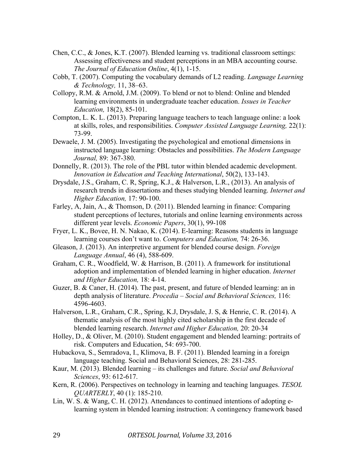- Chen, C.C., & Jones, K.T. (2007). Blended learning vs. traditional classroom settings: Assessing effectiveness and student perceptions in an MBA accounting course. *The Journal of Education Online*, 4(1), 1-15.
- Cobb, T. (2007). Computing the vocabulary demands of L2 reading. *Language Learning & Technology,* 11, 38–63.
- Collopy, R.M. & Arnold, J.M. (2009). To blend or not to blend: Online and blended learning environments in undergraduate teacher education. *Issues in Teacher Education,* 18(2), 85-101.
- Compton, L. K. L. (2013). Preparing language teachers to teach language online: a look at skills, roles, and responsibilities. *Computer Assisted Language Learning,* 22(1): 73-99.
- Dewaele, J. M. (2005). Investigating the psychological and emotional dimensions in instructed language learning: Obstacles and possibilities. *The Modern Language Journal,* 89: 367-380.
- Donnelly, R. (2013). The role of the PBL tutor within blended academic development. *Innovation in Education and Teaching International*, 50(2), 133-143.
- Drysdale, J.S., Graham, C. R, Spring, K.J., & Halverson, L.R., (2013). An analysis of research trends in dissertations and theses studying blended learning. *Internet and Higher Education,* 17: 90-100.
- Farley, A, Jain, A., & Thomson, D. (2011). Blended learning in finance: Comparing student perceptions of lectures, tutorials and online learning environments across different year levels. *Economic Papers*, 30(1), 99-108
- Fryer, L. K., Bovee, H. N. Nakao, K. (2014). E-learning: Reasons students in language learning courses don't want to. *Computers and Education,* 74: 26-36.
- Gleason, J. (2013). An interpretive argument for blended course design. *Foreign Language Annual*, 46 (4), 588-609.
- Graham, C. R., Woodfield, W. & Harrison, B. (2011). A framework for institutional adoption and implementation of blended learning in higher education. *Internet and Higher Education,* 18: 4-14.
- Guzer, B. & Caner, H. (2014). The past, present, and future of blended learning: an in depth analysis of literature. *Procedia – Social and Behavioral Sciences,* 116: 4596-4603.
- Halverson, L.R., Graham, C.R., Spring, K.J, Drysdale, J. S, & Henrie, C. R. (2014). A thematic analysis of the most highly cited scholarship in the first decade of blended learning research. *Internet and Higher Education,* 20: 20-34
- Holley, D., & Oliver, M. (2010). Student engagement and blended learning: portraits of risk. Computers and Education, 54: 693-700.
- Hubackova, S., Semradova, I., Klimova, B. F. (2011). Blended learning in a foreign language teaching. Social and Behavioral Sciences, 28: 281-285.
- Kaur, M. (2013). Blended learning its challenges and future. *Social and Behavioral Sciences*, 93: 612-617.
- Kern, R. (2006). Perspectives on technology in learning and teaching languages. *TESOL QUARTERLY*, 40 (1): 185-210.
- Lin, W. S. & Wang, C. H. (2012). Attendances to continued intentions of adopting elearning system in blended learning instruction: A contingency framework based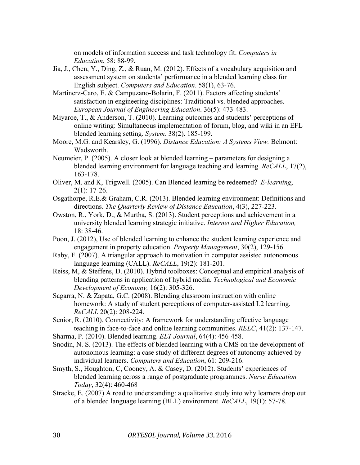on models of information success and task technology fit. *Computers in Education*, 58: 88-99.

- Jia, J., Chen, Y., Ding, Z., & Ruan, M. (2012). Effects of a vocabulary acquisition and assessment system on students' performance in a blended learning class for English subject. *Computers and Education*. 58(1), 63-76.
- Martinerz-Caro, E. & Campuzano-Bolarin, F. (2011). Factors affecting students' satisfaction in engineering disciplines: Traditional vs. blended approaches. *European Journal of Engineering Education*. 36(5): 473-483.
- Miyaroe, T., & Anderson, T. (2010). Learning outcomes and students' perceptions of online writing: Simultaneous implementation of forum, blog, and wiki in an EFL blended learning setting. *System*. 38(2). 185-199.
- Moore, M.G. and Kearsley, G. (1996). *Distance Education: A Systems View.* Belmont: Wadsworth.
- Neumeier, P. (2005). A closer look at blended learning parameters for designing a blended learning environment for language teaching and learning. *ReCALL*, 17(2), 163-178.
- Oliver, M. and K, Trigwell. (2005). Can Blended learning be redeemed? *E-learning*, 2(1): 17-26.
- Osgathorpe, R.E.& Graham, C.R. (2013). Blended learning environment: Definitions and directions. *The Quarterly Review of Distance Education*, 4(3), 227-223.
- Owston, R., York, D., & Murtha, S. (2013). Student perceptions and achievement in a university blended learning strategic initiative. *Internet and Higher Education,* 18: 38-46.
- Poon, J. (2012), Use of blended learning to enhance the student learning experience and engagement in property education. *Property Management*, 30(2), 129-156.
- Raby, F. (2007). A triangular approach to motivation in computer assisted autonomous language learning (CALL). *ReCALL*, 19(2): 181-201.
- Reiss, M, & Steffens, D. (2010). Hybrid toolboxes: Conceptual and empirical analysis of blending patterns in application of hybrid media. *Technological and Economic Development of Economy,* 16(2): 305-326.
- Sagarra, N. & Zapata, G.C. (2008). Blending classroom instruction with online homework: A study of student perceptions of computer-assisted L2 learning*. ReCALL* 20(2): 208-224.
- Senior, R. (2010). Connectivity: A framework for understanding effective language teaching in face-to-face and online learning communities. *RELC*, 41(2): 137-147.
- Sharma, P. (2010). Blended learning. *ELT Journal*, 64(4): 456-458.
- Snodin, N. S. (2013). The effects of blended learning with a CMS on the development of autonomous learning: a case study of different degrees of autonomy achieved by individual learners. *Computers and Education*, 61: 209-216.
- Smyth, S., Houghton, C, Cooney, A. & Casey, D. (2012). Students' experiences of blended learning across a range of postgraduate programmes. *Nurse Education Today*, 32(4): 460-468
- Stracke, E. (2007) A road to understanding: a qualitative study into why learners drop out of a blended language learning (BLL) environment. *ReCALL*, 19(1): 57-78.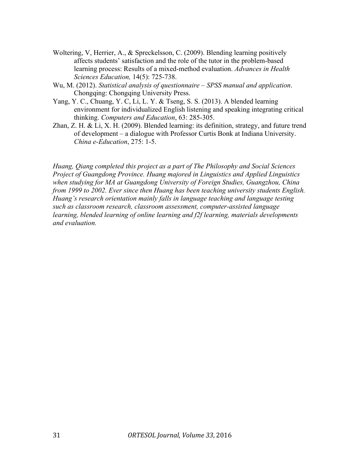- Woltering, V, Herrier, A., & Spreckelsson, C. (2009). Blending learning positively affects students' satisfaction and the role of the tutor in the problem-based learning process: Results of a mixed-method evaluation. *Advances in Health Sciences Education,* 14(5): 725-738.
- Wu, M. (2012). *Statistical analysis of questionnaire – SPSS manual and application*. Chongqing: Chongqing University Press.
- Yang, Y. C., Chuang, Y. C, Li, L. Y. & Tseng, S. S. (2013). A blended learning environment for individualized English listening and speaking integrating critical thinking. *Computers and Education*, 63: 285-305.
- Zhan, Z. H. & Li, X. H. (2009). Blended learning: its definition, strategy, and future trend of development – a dialogue with Professor Curtis Bonk at Indiana University. *China e-Education*, 275: 1-5.

*Huang, Qiang completed this project as a part of The Philosophy and Social Sciences Project of Guangdong Province. Huang majored in Linguistics and Applied Linguistics when studying for MA at Guangdong University of Foreign Studies, Guangzhou, China from 1999 to 2002. Ever since then Huang has been teaching university students English. Huang's research orientation mainly falls in language teaching and language testing such as classroom research, classroom assessment, computer-assisted language learning, blended learning of online learning and f2f learning, materials developments and evaluation.*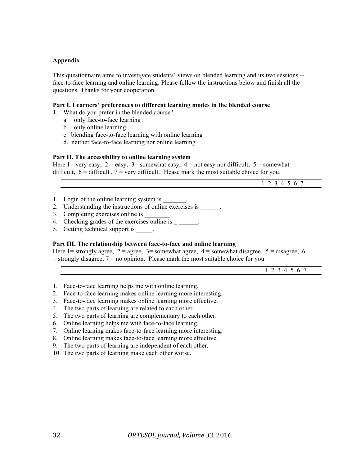#### **Appendix**

This questionnaire aims to investigate students' views on blended learning and its two sessions - face-to-face learning and online learning. Please follow the instructions below and finish all the questions. Thanks for your cooperation.

#### **Part I. Learners' preferences to different learning modes in the blended course**

- 1. What do you prefer in the blended course?
	- a. only face-to-face learning
	- b. only online learning
	- c. blending face-to-face learning with online learning
	- d. neither face-to-face learning nor online learning

#### **Part II. The accessibility to online learning system**

Here 1= very easy,  $2 = \text{easy}$ ,  $3 = \text{somewhat easy}$ ,  $4 = \text{not easy}$  nor difficult,  $5 = \text{somewhat}$ difficult,  $6 =$  difficult,  $7 =$  very difficult. Please mark the most suitable choice for you.

| 21567<br>$\perp$ $\perp$ $\perp$ |
|----------------------------------|
|                                  |

- 1. Login of the online learning system is
- 2. Understanding the instructions of online exercises is
- 3. Completing exercises online is
- 4. Checking grades of the exercises online is \_\_\_\_\_\_.
- 5. Getting technical support is  $\qquad \qquad$ .

#### **Part III. The relationship between face-to-face and online learning**

Here 1= strongly agree,  $2 =$  agree,  $3 =$  somewhat agree,  $4 =$  somewhat disagree,  $5 =$  disagree, 6  $=$  strongly disagree,  $7 =$  no opinion. Please mark the most suitable choice for you.

1 2 3 4 5 6 7

- 1. Face-to-face learning helps me with online learning.
- 2. Face-to-face learning makes online learning more interesting.
- 3. Face-to-face learning makes online learning more effective.
- 4. The two parts of learning are related to each other.
- 5. The two parts of learning are complementary to each other.
- 6. Online learning helps me with face-to-face learning.
- 7. Online learning makes face-to-face learning more interesting.
- 8. Online learning makes face-to-face learning more effective.
- 9. The two parts of learning are independent of each other.
- 10. The two parts of learning make each other worse.